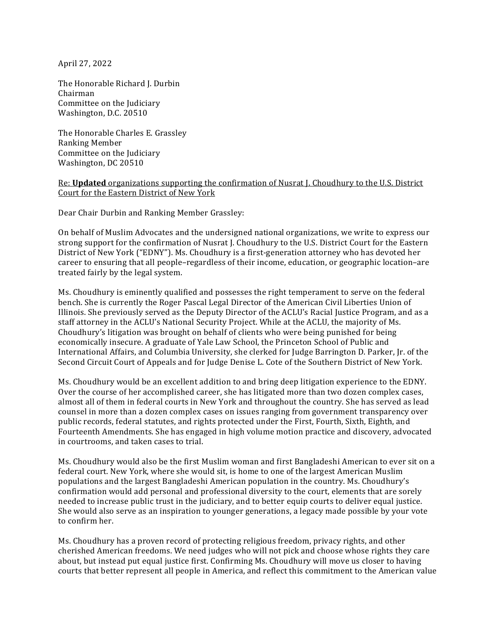April 27, 2022

The Honorable Richard J. Durbin Chairman Committee on the Judiciary Washington, D.C. 20510

The Honorable Charles E. Grassley Ranking Member Committee on the Judiciary Washington, DC 20510

## Re: **Updated** organizations supporting the confirmation of Nusrat J. Choudhury to the U.S. District Court for the Eastern District of New York

Dear Chair Durbin and Ranking Member Grassley:

On behalf of Muslim Advocates and the undersigned national organizations, we write to express our strong support for the confirmation of Nusrat J. Choudhury to the U.S. District Court for the Eastern District of New York ("EDNY"). Ms. Choudhury is a first-generation attorney who has devoted her career to ensuring that all people–regardless of their income, education, or geographic location–are treated fairly by the legal system.

Ms. Choudhury is eminently qualified and possesses the right temperament to serve on the federal bench. She is currently the Roger Pascal Legal Director of the American Civil Liberties Union of Illinois. She previously served as the Deputy Director of the ACLU's Racial Justice Program, and as a staff attorney in the ACLU's National Security Project. While at the ACLU, the majority of Ms. Choudhury's litigation was brought on behalf of clients who were being punished for being economically insecure. A graduate of Yale Law School, the Princeton School of Public and International Affairs, and Columbia University, she clerked for Judge Barrington D. Parker, Jr. of the Second Circuit Court of Appeals and for Judge Denise L. Cote of the Southern District of New York.

Ms. Choudhury would be an excellent addition to and bring deep litigation experience to the EDNY. Over the course of her accomplished career, she has litigated more than two dozen complex cases, almost all of them in federal courts in New York and throughout the country. She has served as lead counsel in more than a dozen complex cases on issues ranging from government transparency over public records, federal statutes, and rights protected under the First, Fourth, Sixth, Eighth, and Fourteenth Amendments. She has engaged in high volume motion practice and discovery, advocated in courtrooms, and taken cases to trial.

Ms. Choudhury would also be the first Muslim woman and first Bangladeshi American to ever sit on a federal court. New York, where she would sit, is home to one of the largest American Muslim populations and the largest Bangladeshi American population in the country. Ms. Choudhury's confirmation would add personal and professional diversity to the court, elements that are sorely needed to increase public trust in the judiciary, and to better equip courts to deliver equal justice. She would also serve as an inspiration to younger generations, a legacy made possible by your vote to confirm her.

Ms. Choudhury has a proven record of protecting religious freedom, privacy rights, and other cherished American freedoms. We need judges who will not pick and choose whose rights they care about, but instead put equal justice first. Confirming Ms. Choudhury will move us closer to having courts that better represent all people in America, and reflect this commitment to the American value